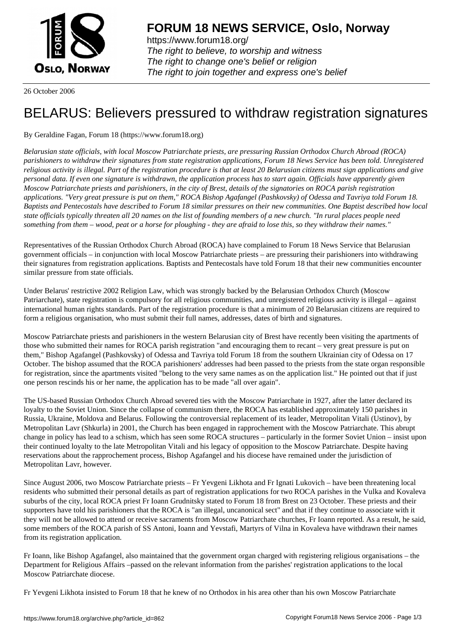

https://www.forum18.org/ The right to believe, to worship and witness The right to change one's belief or religion [The right to join together a](https://www.forum18.org/)nd express one's belief

26 October 2006

## [BELARUS: Beli](https://www.forum18.org)evers pressured to withdraw registration signatures

## By Geraldine Fagan, Forum 18 (https://www.forum18.org)

*Belarusian state officials, with local Moscow Patriarchate priests, are pressuring Russian Orthodox Church Abroad (ROCA) parishioners to withdraw their signatures from state registration applications, Forum 18 News Service has been told. Unregistered religious activity is illegal. Part of the registration procedure is that at least 20 Belarusian citizens must sign applications and give personal data. If even one signature is withdrawn, the application process has to start again. Officials have apparently given Moscow Patriarchate priests and parishioners, in the city of Brest, details of the signatories on ROCA parish registration applications. "Very great pressure is put on them," ROCA Bishop Agafangel (Pashkovsky) of Odessa and Tavriya told Forum 18. Baptists and Pentecostals have described to Forum 18 similar pressures on their new communities. One Baptist described how local state officials typically threaten all 20 names on the list of founding members of a new church. "In rural places people need something from them – wood, peat or a horse for ploughing - they are afraid to lose this, so they withdraw their names."*

Representatives of the Russian Orthodox Church Abroad (ROCA) have complained to Forum 18 News Service that Belarusian government officials – in conjunction with local Moscow Patriarchate priests – are pressuring their parishioners into withdrawing their signatures from registration applications. Baptists and Pentecostals have told Forum 18 that their new communities encounter similar pressure from state officials.

Under Belarus' restrictive 2002 Religion Law, which was strongly backed by the Belarusian Orthodox Church (Moscow Patriarchate), state registration is compulsory for all religious communities, and unregistered religious activity is illegal – against international human rights standards. Part of the registration procedure is that a minimum of 20 Belarusian citizens are required to form a religious organisation, who must submit their full names, addresses, dates of birth and signatures.

Moscow Patriarchate priests and parishioners in the western Belarusian city of Brest have recently been visiting the apartments of those who submitted their names for ROCA parish registration "and encouraging them to recant – very great pressure is put on them," Bishop Agafangel (Pashkovsky) of Odessa and Tavriya told Forum 18 from the southern Ukrainian city of Odessa on 17 October. The bishop assumed that the ROCA parishioners' addresses had been passed to the priests from the state organ responsible for registration, since the apartments visited "belong to the very same names as on the application list." He pointed out that if just one person rescinds his or her name, the application has to be made "all over again".

The US-based Russian Orthodox Church Abroad severed ties with the Moscow Patriarchate in 1927, after the latter declared its loyalty to the Soviet Union. Since the collapse of communism there, the ROCA has established approximately 150 parishes in Russia, Ukraine, Moldova and Belarus. Following the controversial replacement of its leader, Metropolitan Vitali (Ustinov), by Metropolitan Lavr (Shkurla) in 2001, the Church has been engaged in rapprochement with the Moscow Patriarchate. This abrupt change in policy has lead to a schism, which has seen some ROCA structures – particularly in the former Soviet Union – insist upon their continued loyalty to the late Metropolitan Vitali and his legacy of opposition to the Moscow Patriarchate. Despite having reservations about the rapprochement process, Bishop Agafangel and his diocese have remained under the jurisdiction of Metropolitan Lavr, however.

Since August 2006, two Moscow Patriarchate priests – Fr Yevgeni Likhota and Fr Ignati Lukovich – have been threatening local residents who submitted their personal details as part of registration applications for two ROCA parishes in the Vulka and Kovaleva suburbs of the city, local ROCA priest Fr Ioann Grudnitsky stated to Forum 18 from Brest on 23 October. These priests and their supporters have told his parishioners that the ROCA is "an illegal, uncanonical sect" and that if they continue to associate with it they will not be allowed to attend or receive sacraments from Moscow Patriarchate churches, Fr Ioann reported. As a result, he said, some members of the ROCA parish of SS Antoni, Ioann and Yevstafi, Martyrs of Vilna in Kovaleva have withdrawn their names from its registration application.

Fr Ioann, like Bishop Agafangel, also maintained that the government organ charged with registering religious organisations – the Department for Religious Affairs –passed on the relevant information from the parishes' registration applications to the local Moscow Patriarchate diocese.

Fr Yevgeni Likhota insisted to Forum 18 that he knew of no Orthodox in his area other than his own Moscow Patriarchate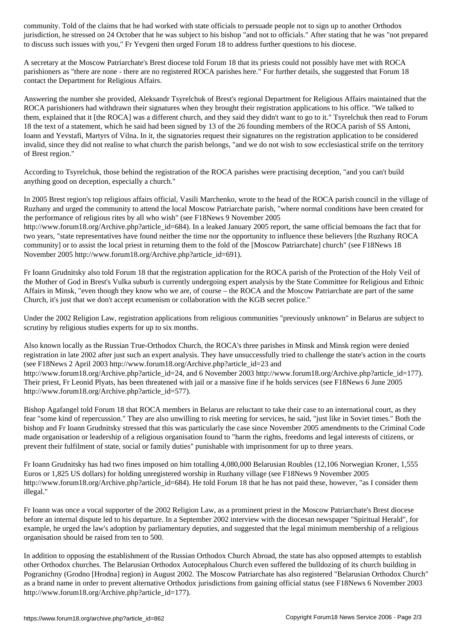jurisdiction, he stressed on 24 October that he was subject to his bishop "and not to officials." After stating that he was "not prepared to discuss such issues with you," Fr Yevgeni then urged Forum 18 to address further questions to his diocese.

A secretary at the Moscow Patriarchate's Brest diocese told Forum 18 that its priests could not possibly have met with ROCA parishioners as "there are none - there are no registered ROCA parishes here." For further details, she suggested that Forum 18 contact the Department for Religious Affairs.

Answering the number she provided, Aleksandr Tsyrelchuk of Brest's regional Department for Religious Affairs maintained that the ROCA parishioners had withdrawn their signatures when they brought their registration applications to his office. "We talked to them, explained that it [the ROCA] was a different church, and they said they didn't want to go to it." Tsyrelchuk then read to Forum 18 the text of a statement, which he said had been signed by 13 of the 26 founding members of the ROCA parish of SS Antoni, Ioann and Yevstafi, Martyrs of Vilna. In it, the signatories request their signatures on the registration application to be considered invalid, since they did not realise to what church the parish belongs, "and we do not wish to sow ecclesiastical strife on the territory of Brest region."

According to Tsyrelchuk, those behind the registration of the ROCA parishes were practising deception, "and you can't build anything good on deception, especially a church."

In 2005 Brest region's top religious affairs official, Vasili Marchenko, wrote to the head of the ROCA parish council in the village of Ruzhany and urged the community to attend the local Moscow Patriarchate parish, "where normal conditions have been created for the performance of religious rites by all who wish" (see F18News 9 November 2005

http://www.forum18.org/Archive.php?article\_id=684). In a leaked January 2005 report, the same official bemoans the fact that for two years, "state representatives have found neither the time nor the opportunity to influence these believers [the Ruzhany ROCA community] or to assist the local priest in returning them to the fold of the [Moscow Patriarchate] church" (see F18News 18 November 2005 http://www.forum18.org/Archive.php?article\_id=691).

Fr Ioann Grudnitsky also told Forum 18 that the registration application for the ROCA parish of the Protection of the Holy Veil of the Mother of God in Brest's Vulka suburb is currently undergoing expert analysis by the State Committee for Religious and Ethnic Affairs in Minsk, "even though they know who we are, of course – the ROCA and the Moscow Patriarchate are part of the same Church, it's just that we don't accept ecumenism or collaboration with the KGB secret police."

Under the 2002 Religion Law, registration applications from religious communities "previously unknown" in Belarus are subject to scrutiny by religious studies experts for up to six months.

Also known locally as the Russian True-Orthodox Church, the ROCA's three parishes in Minsk and Minsk region were denied registration in late 2002 after just such an expert analysis. They have unsuccessfully tried to challenge the state's action in the courts (see F18News 2 April 2003 http://www.forum18.org/Archive.php?article\_id=23 and http://www.forum18.org/Archive.php?article\_id=24, and 6 November 2003 http://www.forum18.org/Archive.php?article\_id=177). Their priest, Fr Leonid Plyats, has been threatened with jail or a massive fine if he holds services (see F18News 6 June 2005 http://www.forum18.org/Archive.php?article\_id=577).

Bishop Agafangel told Forum 18 that ROCA members in Belarus are reluctant to take their case to an international court, as they fear "some kind of repercussion." They are also unwilling to risk meeting for services, he said, "just like in Soviet times." Both the bishop and Fr Ioann Grudnitsky stressed that this was particularly the case since November 2005 amendments to the Criminal Code made organisation or leadership of a religious organisation found to "harm the rights, freedoms and legal interests of citizens, or prevent their fulfilment of state, social or family duties" punishable with imprisonment for up to three years.

Fr Ioann Grudnitsky has had two fines imposed on him totalling 4,080,000 Belarusian Roubles (12,106 Norwegian Kroner, 1,555 Euros or 1,825 US dollars) for holding unregistered worship in Ruzhany village (see F18News 9 November 2005 http://www.forum18.org/Archive.php?article\_id=684). He told Forum 18 that he has not paid these, however, "as I consider them illegal."

Fr Ioann was once a vocal supporter of the 2002 Religion Law, as a prominent priest in the Moscow Patriarchate's Brest diocese before an internal dispute led to his departure. In a September 2002 interview with the diocesan newspaper "Spiritual Herald", for example, he urged the law's adoption by parliamentary deputies, and suggested that the legal minimum membership of a religious organisation should be raised from ten to 500.

In addition to opposing the establishment of the Russian Orthodox Church Abroad, the state has also opposed attempts to establish other Orthodox churches. The Belarusian Orthodox Autocephalous Church even suffered the bulldozing of its church building in Pogranichny (Grodno [Hrodna] region) in August 2002. The Moscow Patriarchate has also registered "Belarusian Orthodox Church" as a brand name in order to prevent alternative Orthodox jurisdictions from gaining official status (see F18News 6 November 2003 http://www.forum18.org/Archive.php?article\_id=177).